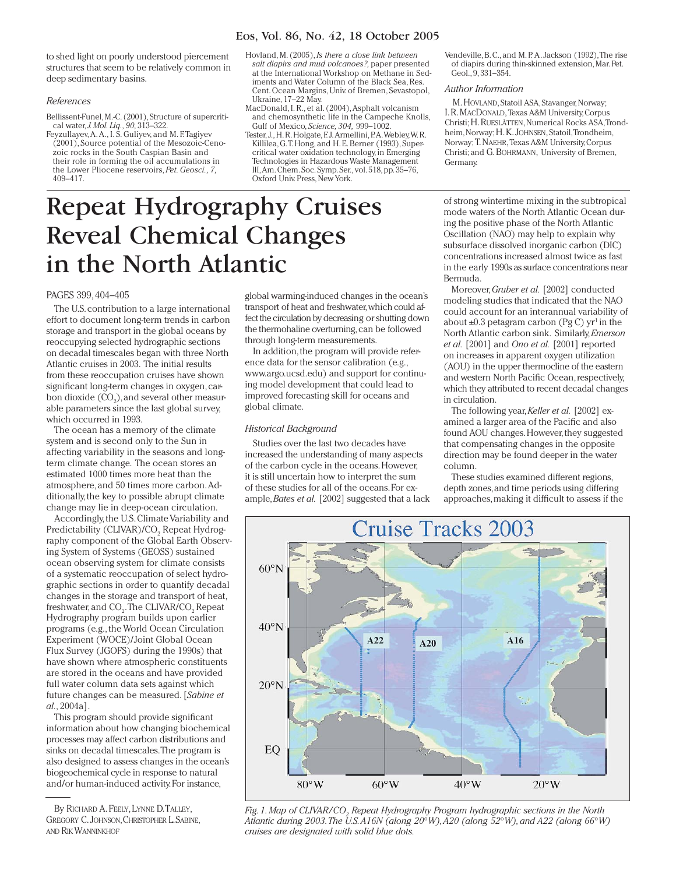# Eos, Vol. 86, No. 42, 18 October 2005

to shed light on poorly understood piercement structures that seem to be relatively common in deep sedimentary basins.

## *References*

Bellissent-Funel, M.-C. (2001), Structure of supercritical water,*J. Mol. Liq., 90,* 313–322.

- Feyzullayev,A.A., I. S. Guliyev, and M. F.Tagiyev (2001), Source potential of the Mesozoic-Cenozoic rocks in the South Caspian Basin and their role in forming the oil accumulations in the Lower Pliocene reservoirs, *Pet. Geosci., 7,* 409–417.
- Hovland, M. (2005), *Is there a close link between salt diapirs and mud volcanoes?,* paper presented at the International Workshop on Methane in Sediments and Water Column of the Black Sea, Res. Cent. Ocean Margins, Univ. of Bremen, Sevastopol, Ukraine, 17–22 May.
- MacDonald, I. R., et al. (2004), Asphalt volcanism and chemosynthetic life in the Campeche Knolls, Gulf of Mexico, *Science, 304,* 999–1002.
- Tester, J., H. R. Holgate, F. J. Armellini, P.A. Webley, W. R. Killilea, G.T. Hong, and H. E. Berner (1993), Supercritical water oxidation technology, in Emerging Technologies in Hazardous Waste Management III,Am. Chem. Soc. Symp. Ser., vol. 518, pp. 35–76, Oxford Univ. Press, New York.
- Vendeville, B. C., and M. P. A. Jackson (1992),The rise of diapirs during thin-skinned extension, Mar. Pet. Geol., 9, 331–354.

#### *Author Information*

M. HOVLAND, Statoil ASA, Stavanger, Norway; I. R. MACDONALD, Texas A&M University, Corpus Christi;H. RUESLÅTTEN, Numerical Rocks ASA,Trondheim, Norway;H. K. JOHNSEN, Statoil, Trondheim, Norway;T. NAEHR, Texas A&M University, Corpus Christi; and G. BOHRMANN, University of Bremen, Germany.

# Repeat Hydrography Cruises Reveal Chemical Changes in the North Atlantic

# PAGES 399, 404–405

The U.S. contribution to a large international effort to document long-term trends in carbon storage and transport in the global oceans by reoccupying selected hydrographic sections on decadal timescales began with three North Atlantic cruises in 2003. The initial results from these reoccupation cruises have shown significant long-term changes in oxygen, carbon dioxide  $({\rm CO}_2)$ , and several other measurable parameters since the last global survey, which occurred in 1993.

The ocean has a memory of the climate system and is second only to the Sun in affecting variability in the seasons and longterm climate change. The ocean stores an estimated 1000 times more heat than the atmosphere, and 50 times more carbon.Additionally, the key to possible abrupt climate change may lie in deep-ocean circulation.

Accordingly, the U.S. Climate Variability and Predictability (CLIVAR)/CO<sub>2</sub> Repeat Hydrography component of the Global Earth Observing System of Systems (GEOSS) sustained ocean observing system for climate consists of a systematic reoccupation of select hydrographic sections in order to quantify decadal changes in the storage and transport of heat, freshwater, and  $\mathrm{CO}_2$ . The CLIVAR/CO $_2$  Repeat Hydrography program builds upon earlier programs (e.g., the World Ocean Circulation Experiment (WOCE)/Joint Global Ocean Flux Survey (JGOFS) during the 1990s) that have shown where atmospheric constituents are stored in the oceans and have provided full water column data sets against which future changes can be measured. [*Sabine et al.,* 2004a].

This program should provide significant information about how changing biochemical processes may affect carbon distributions and sinks on decadal timescales.The program is also designed to assess changes in the ocean's biogeochemical cycle in response to natural and/or human-induced activity. For instance,

global warming-induced changes in the ocean's transport of heat and freshwater,which could affect the circulation by decreasing orshutting down the thermohaline overturning, can be followed through long-term measurements.

In addition, the program will provide reference data for the sensor calibration (e.g., www.argo.ucsd.edu) and support for continuing model development that could lead to improved forecasting skill for oceans and global climate.

# *Historical Background*

Studies over the last two decades have increased the understanding of many aspects of the carbon cycle in the oceans. However, it is still uncertain how to interpret the sum of these studies for all of the oceans. For example,*Bates et al.* [2002] suggested that a lack of strong wintertime mixing in the subtropical mode waters of the North Atlantic Ocean during the positive phase of the North Atlantic Oscillation (NAO) may help to explain why subsurface dissolved inorganic carbon (DIC) concentrations increased almost twice as fast in the early 1990s as surface concentrations near Bermuda.

Moreover,*Gruber et al.* [2002] conducted modeling studies that indicated that the NAO could account for an interannual variability of about  $\pm 0.3$  petagram carbon (Pg C) yr<sup>1</sup> in the North Atlantic carbon sink. Similarly,*Emerson et al.* [2001] and *Ono et al.* [2001] reported on increases in apparent oxygen utilization (AOU) in the upper thermocline of the eastern and western North Pacific Ocean, respectively, which they attributed to recent decadal changes in circulation.

The following year,*Keller et al.* [2002] examined a larger area of the Pacific and also found AOU changes. However, they suggested that compensating changes in the opposite direction may be found deeper in the water column.

These studies examined different regions, depth zones, and time periods using differing approaches, making it difficult to assess if the



*Fig. 1. Map of CLIVAR/CO<sup>2</sup> Repeat Hydrography Program hydrographic sections in the North Atlantic during 2003.The U.S.A16N (along 20*°*W),A20 (along 52*°*W), and A22 (along 66*°*W) cruises are designated with solid blue dots.*

By RICHARD A.FEELY, LYNNE D.TALLEY, GREGORY C. JOHNSON, CHRISTOPHER L. SABINE, AND RIK WANNINKHOF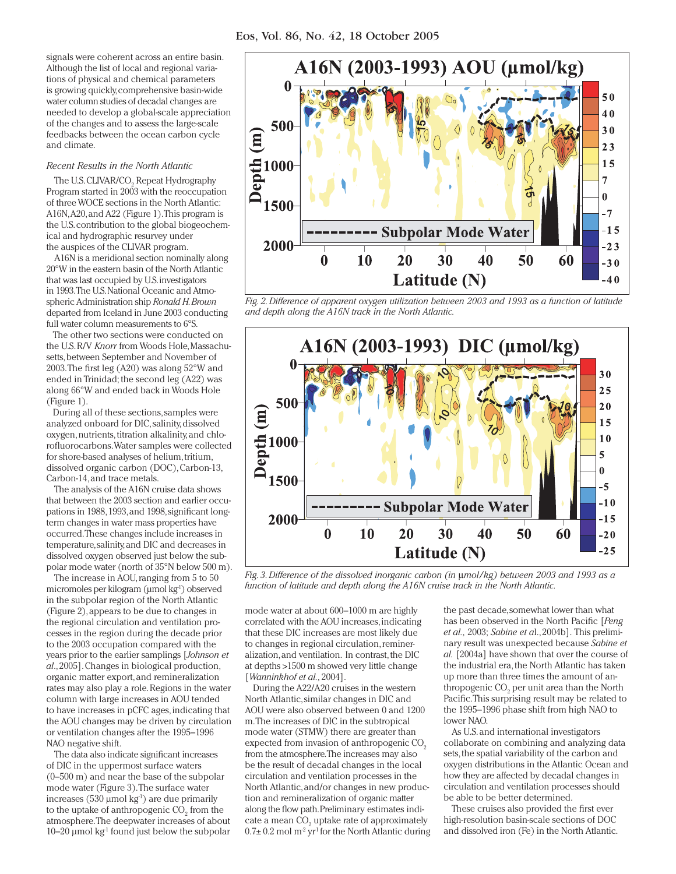signals were coherent across an entire basin. Although the list of local and regional variations of physical and chemical parameters is growing quickly, comprehensive basin-wide water column studies of decadal changes are needed to develop a global-scale appreciation of the changes and to assess the large-scale feedbacks between the ocean carbon cycle and climate.

# *Recent Results in the North Atlantic*

The U.S. CLIVAR/CO $_{\textrm{\tiny{2}}}$  Repeat Hydrography Program started in 2003 with the reoccupation of three WOCE sections in the North Atlantic: A16N,A20, and A22 (Figure 1).This program is the U.S. contribution to the global biogeochemical and hydrographic resurvey under the auspices of the CLIVAR program.

A16N is a meridional section nominally along 20°W in the eastern basin of the North Atlantic that was last occupied by U.S. investigators in 1993.The U.S. National Oceanic and Atmospheric Administration ship *Ronald H. Brown*  departed from Iceland in June 2003 conducting full water column measurements to 6°S.

The other two sections were conducted on the U.S. R/V *Knorr* from Woods Hole, Massachusetts, between September and November of 2003. The first leg (A20) was along 52°W and ended in Trinidad; the second leg (A22) was along 66°W and ended back in Woods Hole (Figure 1).

During all of these sections, samples were analyzed onboard for DIC, salinity, dissolved oxygen, nutrients, titration alkalinity, and chlorofluorocarbons. Water samples were collected for shore-based analyses of helium, tritium, dissolved organic carbon (DOC), Carbon-13, Carbon-14, and trace metals.

The analysis of the A16N cruise data shows that between the 2003 section and earlier occupations in 1988, 1993, and 1998, significant longterm changes in water mass properties have occurred.These changes include increases in temperature, salinity, and DIC and decreases in dissolved oxygen observed just below the subpolar mode water (north of 35°N below 500 m).

The increase in AOU, ranging from 5 to 50 micromoles per kilogram (μmol kg-1) observed in the subpolar region of the North Atlantic (Figure 2), appears to be due to changes in the regional circulation and ventilation processes in the region during the decade prior to the 2003 occupation compared with the years prior to the earlier samplings [*Johnson et al*., 2005]. Changes in biological production, organic matter export, and remineralization rates may also play a role. Regions in the water column with large increases in AOU tended to have increases in pCFC ages, indicating that the AOU changes may be driven by circulation or ventilation changes after the 1995–1996 NAO negative shift.

The data also indicate significant increases of DIC in the uppermost surface waters (0–500 m) and near the base of the subpolar mode water (Figure 3).The surface water increases (530  $\mu$ mol kg<sup>-1</sup>) are due primarily to the uptake of anthropogenic  $\mathrm{CO}_2^{}$  from the atmosphere.The deepwater increases of about  $10-20$  μmol kg<sup>1</sup> found just below the subpolar



*Fig. 2. Difference of apparent oxygen utilization between 2003 and 1993 as a function of latitude and depth along the A16N track in the North Atlantic.*



*Fig. 3. Difference of the dissolved inorganic carbon (in* μ*mol/kg) between 2003 and 1993 as a function of latitude and depth along the A16N cruise track in the North Atlantic.*

mode water at about 600–1000 m are highly correlated with the AOU increases, indicating that these DIC increases are most likely due to changes in regional circulation,remineralization, and ventilation. In contrast, the DIC at depths >1500 m showed very little change [*Wanninkhof et al.,*2004].

During the A22/A20 cruises in the western North Atlantic, similar changes in DIC and AOU were also observed between 0 and 1200 m.The increases of DIC in the subtropical mode water (STMW) there are greater than expected from invasion of anthropogenic CO<sub>2</sub> from the atmosphere.The increases may also be the result of decadal changes in the local circulation and ventilation processes in the North Atlantic, and/or changes in new production and remineralization of organic matter along the flow path. Preliminary estimates indicate a mean  $\mathrm{CO}_2$  uptake rate of approximately  $0.7\pm 0.2$  mol m<sup>2</sup> yr<sup>1</sup> for the North Atlantic during

the past decade, somewhat lower than what has been observed in the North Pacific [*Peng et al.,* 2003; *Sabine et a*l.,2004b]. This preliminary result was unexpected because *Sabine et al.* [2004a] have shown that over the course of the industrial era, the North Atlantic has taken up more than three times the amount of anthropogenic  $\mathrm{CO}_2$  per unit area than the North Pacific.This surprising result may be related to the 1995–1996 phase shift from high NAO to lower NAO.

As U.S. and international investigators collaborate on combining and analyzing data sets, the spatial variability of the carbon and oxygen distributions in the Atlantic Ocean and how they are affected by decadal changes in circulation and ventilation processes should be able to be better determined.

These cruises also provided the first ever high-resolution basin-scale sections of DOC and dissolved iron (Fe) in the North Atlantic.